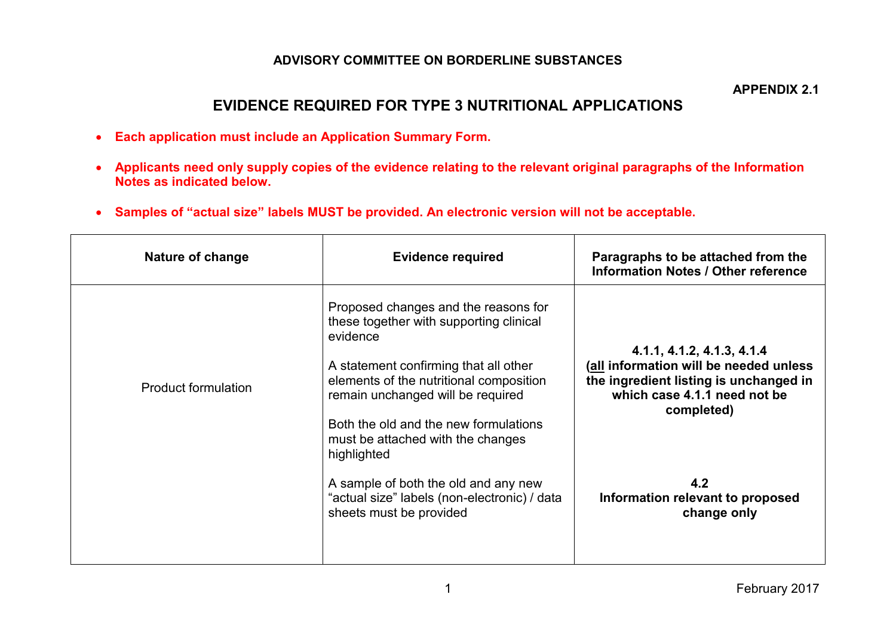## **ADVISORY COMMITTEE ON BORDERLINE SUBSTANCES**

**APPENDIX 2.1** 

## **EVIDENCE REQUIRED FOR TYPE 3 NUTRITIONAL APPLICATIONS**

- **Each application must include an Application Summary Form.**
- **Applicants need only supply copies of the evidence relating to the relevant original paragraphs of the Information Notes as indicated below.**
- **Samples of "actual size" labels MUST be provided. An electronic version will not be acceptable.**

| Nature of change           | <b>Evidence required</b>                                                                                                                                                                                                                                                                                                                                                                                                             | Paragraphs to be attached from the<br><b>Information Notes / Other reference</b>                                                                                                                                       |
|----------------------------|--------------------------------------------------------------------------------------------------------------------------------------------------------------------------------------------------------------------------------------------------------------------------------------------------------------------------------------------------------------------------------------------------------------------------------------|------------------------------------------------------------------------------------------------------------------------------------------------------------------------------------------------------------------------|
| <b>Product formulation</b> | Proposed changes and the reasons for<br>these together with supporting clinical<br>evidence<br>A statement confirming that all other<br>elements of the nutritional composition<br>remain unchanged will be required<br>Both the old and the new formulations<br>must be attached with the changes<br>highlighted<br>A sample of both the old and any new<br>"actual size" labels (non-electronic) / data<br>sheets must be provided | 4.1.1, 4.1.2, 4.1.3, 4.1.4<br>(all information will be needed unless<br>the ingredient listing is unchanged in<br>which case 4.1.1 need not be<br>completed)<br>4.2<br>Information relevant to proposed<br>change only |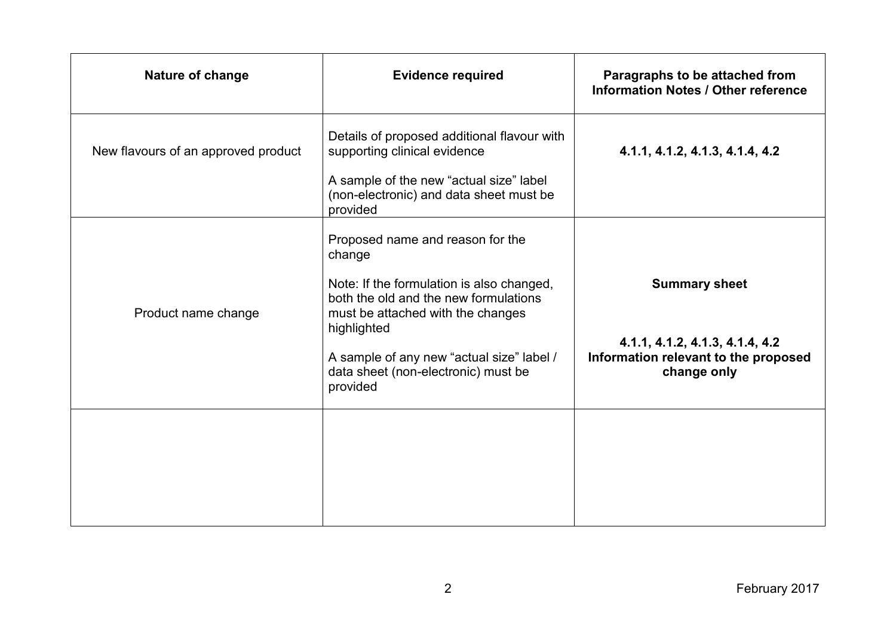| Nature of change                    | <b>Evidence required</b>                                                                                                                                                                                                                                                             | Paragraphs to be attached from<br><b>Information Notes / Other reference</b>                                   |
|-------------------------------------|--------------------------------------------------------------------------------------------------------------------------------------------------------------------------------------------------------------------------------------------------------------------------------------|----------------------------------------------------------------------------------------------------------------|
| New flavours of an approved product | Details of proposed additional flavour with<br>supporting clinical evidence<br>A sample of the new "actual size" label<br>(non-electronic) and data sheet must be<br>provided                                                                                                        | 4.1.1, 4.1.2, 4.1.3, 4.1.4, 4.2                                                                                |
| Product name change                 | Proposed name and reason for the<br>change<br>Note: If the formulation is also changed,<br>both the old and the new formulations<br>must be attached with the changes<br>highlighted<br>A sample of any new "actual size" label /<br>data sheet (non-electronic) must be<br>provided | <b>Summary sheet</b><br>4.1.1, 4.1.2, 4.1.3, 4.1.4, 4.2<br>Information relevant to the proposed<br>change only |
|                                     |                                                                                                                                                                                                                                                                                      |                                                                                                                |